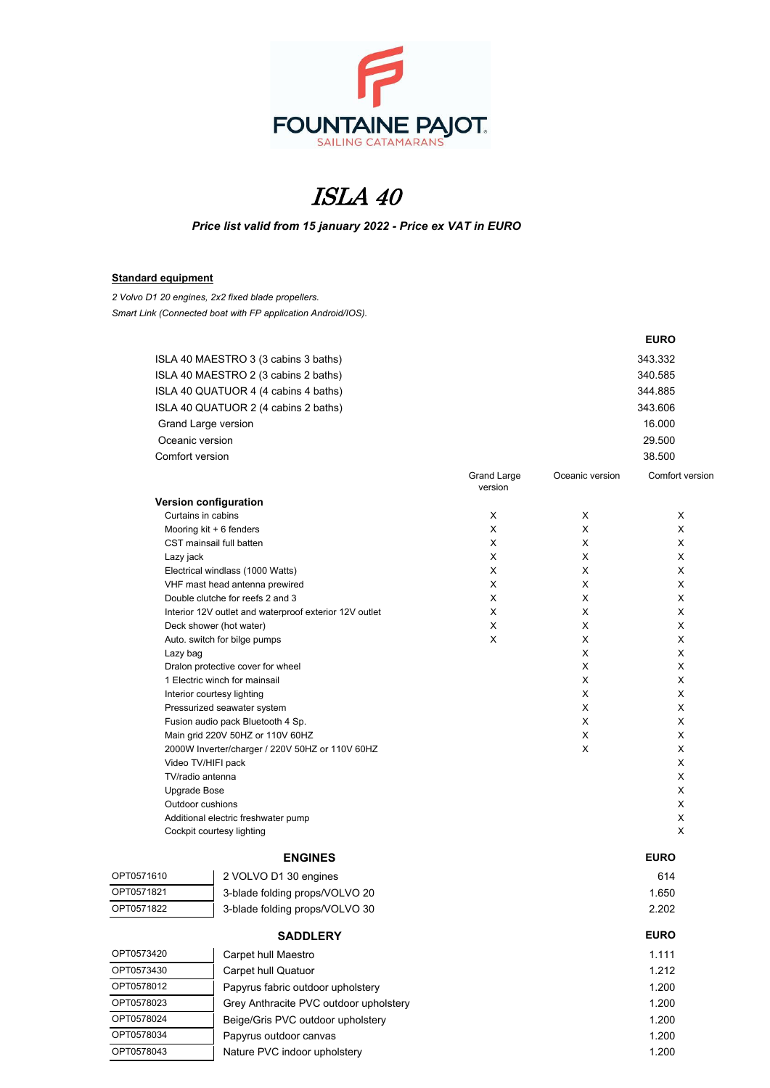

## ISLA 40

*Price list valid from 15 january 2022 - Price ex VAT in EURO*

## **Standard equipment**

*2 Volvo D1 20 engines, 2x2 fixed blade propellers. Smart Link (Connected boat with FP application Android/IOS).*

|                                                 |                                                                                   |                               |                 | <b>EURO</b>     |
|-------------------------------------------------|-----------------------------------------------------------------------------------|-------------------------------|-----------------|-----------------|
|                                                 | ISLA 40 MAESTRO 3 (3 cabins 3 baths)                                              |                               |                 | 343.332         |
| ISLA 40 MAESTRO 2 (3 cabins 2 baths)            |                                                                                   |                               | 340.585         |                 |
| ISLA 40 QUATUOR 4 (4 cabins 4 baths)            |                                                                                   |                               | 344.885         |                 |
|                                                 | ISLA 40 QUATUOR 2 (4 cabins 2 baths)                                              |                               | 343.606         |                 |
|                                                 | Grand Large version                                                               |                               | 16.000          |                 |
|                                                 | Oceanic version                                                                   |                               |                 | 29.500          |
| Comfort version                                 |                                                                                   |                               |                 | 38.500          |
|                                                 |                                                                                   |                               | Oceanic version | Comfort versior |
|                                                 |                                                                                   | <b>Grand Large</b><br>version |                 |                 |
|                                                 | Version configuration                                                             |                               |                 |                 |
|                                                 | Curtains in cabins                                                                | X                             | X               | Х               |
|                                                 | Mooring $kit + 6$ fenders                                                         | X                             | X               | X               |
|                                                 | CST mainsail full batten                                                          | X                             | Χ               | X               |
| Lazy jack                                       |                                                                                   | X                             | X               | X               |
|                                                 | Electrical windlass (1000 Watts)                                                  | X                             | X               | X               |
|                                                 | VHF mast head antenna prewired                                                    | X                             | X               | X               |
|                                                 | Double clutche for reefs 2 and 3                                                  | X                             | Χ               | X               |
|                                                 | Interior 12V outlet and waterproof exterior 12V outlet<br>Deck shower (hot water) | X<br>X                        | Χ<br>X          | X<br>X          |
|                                                 | Auto. switch for bilge pumps                                                      | X                             | X               | X               |
| Lazy bag                                        |                                                                                   |                               | X               | X               |
|                                                 | Dralon protective cover for wheel                                                 |                               | X               | X               |
|                                                 | 1 Electric winch for mainsail                                                     |                               | X               | X               |
|                                                 | Interior courtesy lighting                                                        |                               | X               | X               |
|                                                 | Pressurized seawater system                                                       |                               | X               | X               |
|                                                 | Fusion audio pack Bluetooth 4 Sp.                                                 |                               | X               | X               |
|                                                 | Main grid 220V 50HZ or 110V 60HZ                                                  |                               | Χ               | X               |
| 2000W Inverter/charger / 220V 50HZ or 110V 60HZ |                                                                                   |                               | X               | X               |
|                                                 | Video TV/HIFI pack<br>TV/radio antenna                                            |                               |                 | X<br>X          |
| Upgrade Bose                                    |                                                                                   |                               |                 | X               |
|                                                 | Outdoor cushions                                                                  |                               |                 | Х               |
|                                                 | Additional electric freshwater pump                                               |                               |                 | X               |
|                                                 | Cockpit courtesy lighting                                                         |                               |                 | X               |
|                                                 | <b>ENGINES</b>                                                                    |                               |                 | <b>EURO</b>     |
| OPT0571610                                      | 2 VOLVO D1 30 engines                                                             |                               |                 | 614             |
| OPT0571821                                      | 3-blade folding props/VOLVO 20                                                    |                               |                 | 1.650           |
| OPT0571822                                      | 3-blade folding props/VOLVO 30                                                    |                               |                 | 2.202           |
|                                                 | <b>SADDLERY</b>                                                                   |                               |                 | <b>EURO</b>     |
| OPT0573420                                      | Carpet hull Maestro                                                               |                               |                 | 1.111           |
| OPT0573430                                      | Carpet hull Quatuor                                                               |                               |                 | 1.212           |
| OPT0578012                                      | Papyrus fabric outdoor upholstery                                                 |                               |                 | 1.200           |
| OPT0578023                                      | Grey Anthracite PVC outdoor upholstery                                            |                               |                 | 1.200           |
| OPT0578024                                      | Beige/Gris PVC outdoor upholstery                                                 |                               |                 | 1.200           |
| OPT0578034                                      |                                                                                   |                               |                 |                 |
|                                                 | Papyrus outdoor canvas                                                            |                               |                 | 1.200           |
| OPT0578043                                      | Nature PVC indoor upholstery                                                      |                               |                 | 1.200           |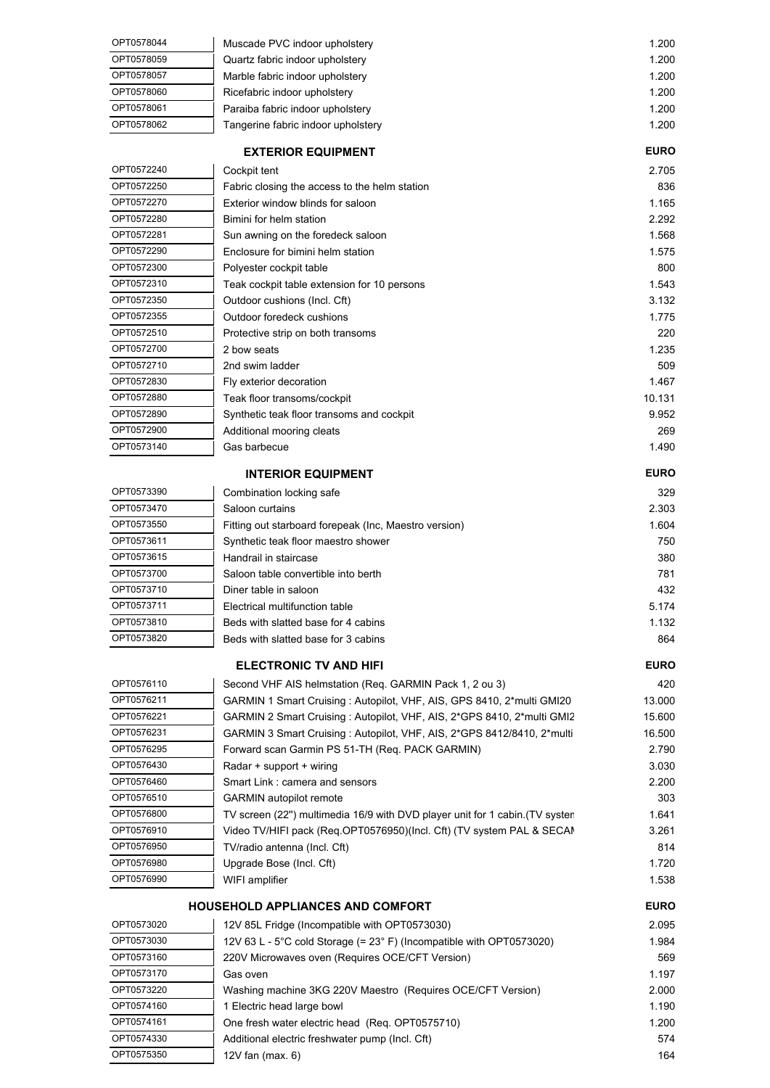| OPT0578044               | Muscade PVC indoor upholstery                                                                                                                         | 1.200          |
|--------------------------|-------------------------------------------------------------------------------------------------------------------------------------------------------|----------------|
| OPT0578059               | Quartz fabric indoor upholstery                                                                                                                       | 1.200          |
| OPT0578057               | Marble fabric indoor upholstery                                                                                                                       | 1.200          |
| OPT0578060               | Ricefabric indoor upholstery                                                                                                                          | 1.200          |
| OPT0578061               | Paraiba fabric indoor upholstery                                                                                                                      | 1.200          |
| OPT0578062               | Tangerine fabric indoor upholstery                                                                                                                    | 1.200          |
|                          | <b>EXTERIOR EQUIPMENT</b>                                                                                                                             | <b>EURO</b>    |
| OPT0572240               | Cockpit tent                                                                                                                                          | 2.705          |
| OPT0572250               | Fabric closing the access to the helm station                                                                                                         | 836            |
| OPT0572270               | Exterior window blinds for saloon                                                                                                                     | 1.165          |
| OPT0572280               | Bimini for helm station                                                                                                                               | 2.292          |
| OPT0572281               | Sun awning on the foredeck saloon                                                                                                                     | 1.568          |
| OPT0572290               | Enclosure for bimini helm station                                                                                                                     | 1.575          |
| OPT0572300               | Polyester cockpit table                                                                                                                               | 800            |
| OPT0572310               | Teak cockpit table extension for 10 persons                                                                                                           | 1,543          |
| OPT0572350               | Outdoor cushions (Incl. Cft)                                                                                                                          | 3.132          |
| OPT0572355               | Outdoor foredeck cushions                                                                                                                             | 1.775          |
| OPT0572510               | Protective strip on both transoms                                                                                                                     | 220            |
| OPT0572700               | 2 bow seats                                                                                                                                           | 1.235          |
| OPT0572710               | 2nd swim ladder                                                                                                                                       | 509            |
| OPT0572830               | Fly exterior decoration                                                                                                                               | 1.467          |
| OPT0572880               | Teak floor transoms/cockpit                                                                                                                           | 10.131         |
| OPT0572890               | Synthetic teak floor transoms and cockpit                                                                                                             | 9.952          |
| OPT0572900               | Additional mooring cleats                                                                                                                             | 269            |
| OPT0573140               | Gas barbecue                                                                                                                                          | 1.490          |
|                          | <b>INTERIOR EQUIPMENT</b>                                                                                                                             | <b>EURO</b>    |
| OPT0573390               |                                                                                                                                                       |                |
| OPT0573470               | Combination locking safe<br>Saloon curtains                                                                                                           | 329<br>2.303   |
| OPT0573550               |                                                                                                                                                       | 1.604          |
| OPT0573611               | Fitting out starboard forepeak (Inc, Maestro version)<br>Synthetic teak floor maestro shower                                                          | 750            |
| OPT0573615               | Handrail in staircase                                                                                                                                 | 380            |
| OPT0573700               | Saloon table convertible into berth                                                                                                                   | 781            |
| OPT0573710               | Diner table in saloon                                                                                                                                 | 432            |
| OPT0573711               | Electrical multifunction table                                                                                                                        | 5.174          |
| OPT0573810               | Beds with slatted base for 4 cabins                                                                                                                   | 1.132          |
| OPT0573820               | Beds with slatted base for 3 cabins                                                                                                                   | 864            |
|                          |                                                                                                                                                       |                |
|                          | <b>ELECTRONIC TV AND HIFI</b>                                                                                                                         | <b>EURO</b>    |
| OPT0576110               | Second VHF AIS helmstation (Req. GARMIN Pack 1, 2 ou 3)                                                                                               | 420            |
| OPT0576211               | GARMIN 1 Smart Cruising: Autopilot, VHF, AIS, GPS 8410, 2*multi GMI20                                                                                 | 13.000         |
| OPT0576221               | GARMIN 2 Smart Cruising: Autopilot, VHF, AIS, 2*GPS 8410, 2*multi GMI2                                                                                | 15.600         |
| OPT0576231               | GARMIN 3 Smart Cruising : Autopilot, VHF, AIS, 2*GPS 8412/8410, 2*multi                                                                               | 16.500         |
| OPT0576295               | Forward scan Garmin PS 51-TH (Req. PACK GARMIN)                                                                                                       | 2.790          |
| OPT0576430               | Radar + support + wiring                                                                                                                              | 3.030          |
| OPT0576460               | Smart Link: camera and sensors                                                                                                                        | 2.200          |
| OPT0576510<br>OPT0576800 | <b>GARMIN</b> autopilot remote                                                                                                                        | 303            |
| OPT0576910               | TV screen (22") multimedia 16/9 with DVD player unit for 1 cabin. (TV syster<br>Video TV/HIFI pack (Req.OPT0576950)(Incl. Cft) (TV system PAL & SECAN | 1.641<br>3.261 |
| OPT0576950               | TV/radio antenna (Incl. Cft)                                                                                                                          | 814            |
| OPT0576980               | Upgrade Bose (Incl. Cft)                                                                                                                              | 1.720          |
| OPT0576990               | WIFI amplifier                                                                                                                                        | 1.538          |
|                          |                                                                                                                                                       |                |
|                          | HOUSEHOLD APPLIANCES AND COMFORT                                                                                                                      | <b>EURO</b>    |
| OPT0573020               | 12V 85L Fridge (Incompatible with OPT0573030)                                                                                                         | 2.095          |
| OPT0573030               | 12V 63 L - 5°C cold Storage (= 23° F) (Incompatible with OPT0573020)                                                                                  | 1.984          |
| OPT0573160               | 220V Microwaves oven (Requires OCE/CFT Version)                                                                                                       | 569            |
| OPT0573170               | Gas oven                                                                                                                                              | 1.197          |
| OPT0573220               | Washing machine 3KG 220V Maestro (Requires OCE/CFT Version)                                                                                           | 2.000          |
| OPT0574160               | 1 Electric head large bowl                                                                                                                            | 1.190          |
| OPT0574161               | One fresh water electric head (Req. OPT0575710)                                                                                                       | 1.200          |
| OPT0574330<br>OPT0575350 | Additional electric freshwater pump (Incl. Cft)                                                                                                       | 574            |
|                          | 12V fan (max. 6)                                                                                                                                      | 164            |